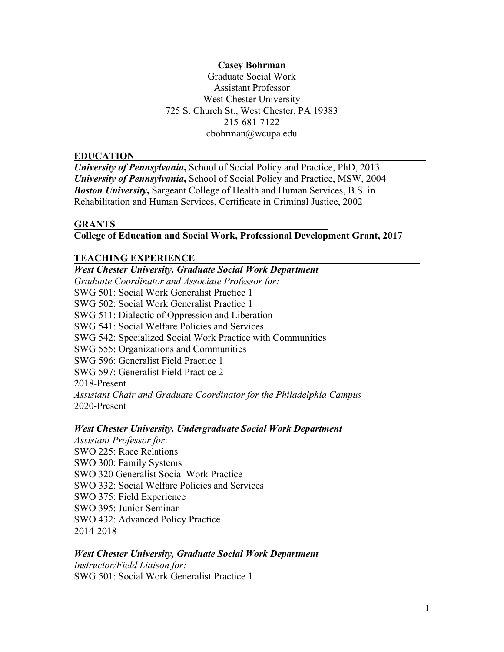## **Casey Bohrman**

Graduate Social Work Assistant Professor West Chester University 725 S. Church St., West Chester, PA 19383 215-681-7122 cbohrman@wcupa.edu

#### **EDUCATION\_\_\_\_\_\_\_\_\_\_\_\_\_\_\_\_\_\_\_\_\_\_\_\_\_\_\_\_\_\_\_\_\_\_\_\_\_\_\_\_\_\_\_\_\_\_\_\_\_\_\_\_\_\_\_\_\_\_\_**

*University of Pennsylvania***,** School of Social Policy and Practice, PhD, 2013 *University of Pennsylvania***,** School of Social Policy and Practice, MSW, 2004 *Boston University***,** Sargeant College of Health and Human Services, B.S. in Rehabilitation and Human Services, Certificate in Criminal Justice, 2002

#### **GRANTS \_\_\_\_\_\_\_ \_\_\_\_\_\_\_\_\_\_\_\_\_\_\_\_\_\_\_\_\_\_\_\_\_\_\_\_\_\_\_\_\_\_**

## **College of Education and Social Work, Professional Development Grant, 2017**

#### **TEACHING EXPERIENCE\_ \_\_\_\_\_\_\_\_\_\_\_\_\_\_\_\_\_\_\_\_\_\_\_\_\_**

*West Chester University, Graduate Social Work Department Graduate Coordinator and Associate Professor for:* SWG 501: Social Work Generalist Practice 1 SWG 502: Social Work Generalist Practice 1 SWG 511: Dialectic of Oppression and Liberation SWG 541: Social Welfare Policies and Services SWG 542: Specialized Social Work Practice with Communities SWG 555: Organizations and Communities SWG 596: Generalist Field Practice 1 SWG 597: Generalist Field Practice 2 2018-Present *Assistant Chair and Graduate Coordinator for the Philadelphia Campus* 2020-Present

#### *West Chester University, Undergraduate Social Work Department*

*Assistant Professor for*: SWO 225: Race Relations SWO 300: Family Systems SWO 320 Generalist Social Work Practice SWO 332: Social Welfare Policies and Services SWO 375: Field Experience SWO 395: Junior Seminar SWO 432: Advanced Policy Practice 2014-2018

#### *West Chester University, Graduate Social Work Department*

*Instructor/Field Liaison for:* SWG 501: Social Work Generalist Practice 1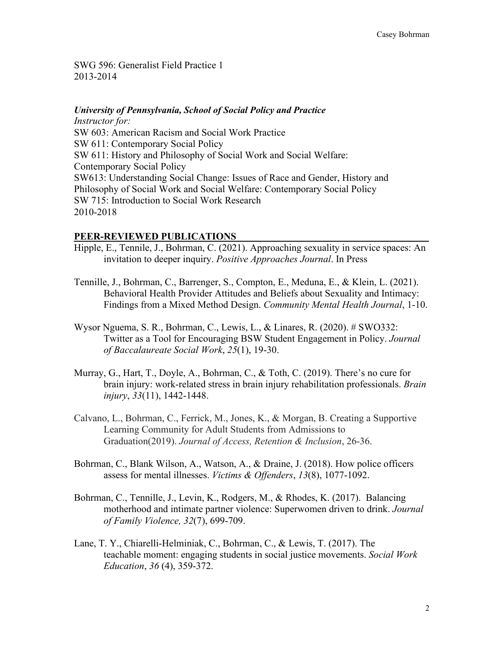SWG 596: Generalist Field Practice 1 2013-2014

# *University of Pennsylvania, School of Social Policy and Practice*

*Instructor for:* SW 603: American Racism and Social Work Practice SW 611: Contemporary Social Policy SW 611: History and Philosophy of Social Work and Social Welfare: Contemporary Social Policy SW613: Understanding Social Change: Issues of Race and Gender, History and Philosophy of Social Work and Social Welfare: Contemporary Social Policy SW 715: Introduction to Social Work Research 2010-2018

## PEER-REVIEWED PUBLICATIONS

- Hipple, E., Tennile, J., Bohrman, C. (2021). Approaching sexuality in service spaces: An invitation to deeper inquiry. *Positive Approaches Journal*. In Press
- Tennille, J., Bohrman, C., Barrenger, S., Compton, E., Meduna, E., & Klein, L. (2021). Behavioral Health Provider Attitudes and Beliefs about Sexuality and Intimacy: Findings from a Mixed Method Design. *Community Mental Health Journal*, 1-10.
- Wysor Nguema, S. R., Bohrman, C., Lewis, L., & Linares, R. (2020). # SWO332: Twitter as a Tool for Encouraging BSW Student Engagement in Policy. *Journal of Baccalaureate Social Work*, *25*(1), 19-30.
- Murray, G., Hart, T., Doyle, A., Bohrman, C., & Toth, C. (2019). There's no cure for brain injury: work-related stress in brain injury rehabilitation professionals. *Brain injury*, *33*(11), 1442-1448.
- Calvano, L., Bohrman, C., Ferrick, M., Jones, K., & Morgan, B. Creating a Supportive Learning Community for Adult Students from Admissions to Graduation(2019). *Journal of Access, Retention & Inclusion*, 26-36.
- Bohrman, C., Blank Wilson, A., Watson, A., & Draine, J. (2018). How police officers assess for mental illnesses. *Victims & Offenders*, *13*(8), 1077-1092.
- Bohrman, C., Tennille, J., Levin, K., Rodgers, M., & Rhodes, K. (2017). Balancing motherhood and intimate partner violence: Superwomen driven to drink. *Journal of Family Violence, 32*(7), 699-709.
- Lane, T. Y., Chiarelli-Helminiak, C., Bohrman, C., & Lewis, T. (2017). The teachable moment: engaging students in social justice movements. *Social Work Education*, *36* (4), 359-372.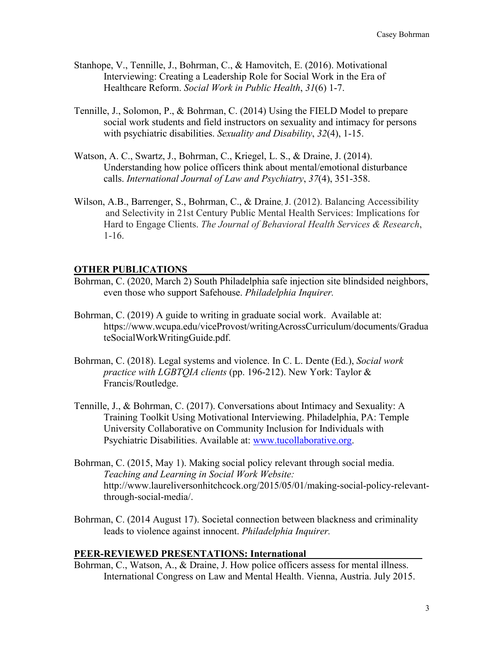- Stanhope, V., Tennille, J., Bohrman, C., & Hamovitch, E. (2016). Motivational Interviewing: Creating a Leadership Role for Social Work in the Era of Healthcare Reform. *Social Work in Public Health*, *31*(6) 1-7.
- Tennille, J., Solomon, P., & Bohrman, C. (2014) Using the FIELD Model to prepare social work students and field instructors on sexuality and intimacy for persons with psychiatric disabilities. *Sexuality and Disability*, *32*(4), 1-15.
- Watson, A. C., Swartz, J., Bohrman, C., Kriegel, L. S., & Draine, J. (2014). Understanding how police officers think about mental/emotional disturbance calls. *International Journal of Law and Psychiatry*, *37*(4), 351-358.
- Wilson, A.B., Barrenger, S., Bohrman, C., & Draine, J. (2012). Balancing Accessibility and Selectivity in 21st Century Public Mental Health Services: Implications for Hard to Engage Clients. *The Journal of Behavioral Health Services & Research*, 1-16.

#### **OTHER PUBLICATIONS\_\_\_\_\_\_\_\_\_\_\_\_\_\_\_\_\_\_\_\_\_\_\_\_\_\_\_\_\_\_\_\_\_\_\_\_\_\_\_\_\_\_\_\_\_\_\_\_\_**

- Bohrman, C. (2020, March 2) South Philadelphia safe injection site blindsided neighbors, even those who support Safehouse. *Philadelphia Inquirer.*
- Bohrman, C. (2019) A guide to writing in graduate social work. Available at: https://www.wcupa.edu/viceProvost/writingAcrossCurriculum/documents/Gradua teSocialWorkWritingGuide.pdf.
- Bohrman, C. (2018). Legal systems and violence. In C. L. Dente (Ed.), *Social work practice with LGBTQIA clients* (pp. 196-212). New York: Taylor & Francis/Routledge.
- Tennille, J., & Bohrman, C. (2017). Conversations about Intimacy and Sexuality: A Training Toolkit Using Motivational Interviewing. Philadelphia, PA: Temple University Collaborative on Community Inclusion for Individuals with Psychiatric Disabilities. Available at: [www.tucollaborative.org.](http://www.tucollaborative.org/)
- Bohrman, C. (2015, May 1). Making social policy relevant through social media. *Teaching and Learning in Social Work Website:*  http://www.laureliversonhitchcock.org/2015/05/01/making-social-policy-relevantthrough-social-media/.
- Bohrman, C. (2014 August 17). Societal connection between blackness and criminality leads to violence against innocent. *Philadelphia Inquirer.*

## PEER-REVIEWED PRESENTATIONS: International

Bohrman, C., Watson, A., & Draine, J. How police officers assess for mental illness. International Congress on Law and Mental Health. Vienna, Austria. July 2015.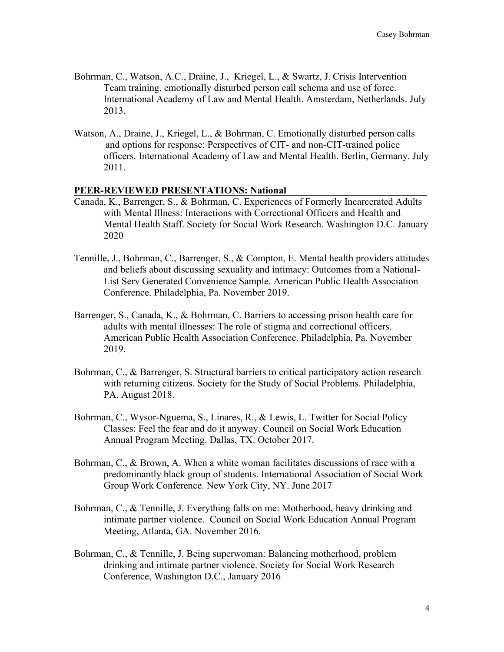- Bohrman, C., Watson, A.C., Draine, J., Kriegel, L., & Swartz, J. Crisis Intervention Team training, emotionally disturbed person call schema and use of force. International Academy of Law and Mental Health. Amsterdam, Netherlands. July 2013.
- Watson, A., Draine, J., Kriegel, L., & Bohrman, C. Emotionally disturbed person calls and options for response: Perspectives of CIT- and non-CIT-trained police officers. International Academy of Law and Mental Health. Berlin, Germany. July 2011.

#### PEER-REVIEWED PRESENTATIONS: National

- Canada, K., Barrenger, S., & Bohrman, C. Experiences of Formerly Incarcerated Adults with Mental Illness: Interactions with Correctional Officers and Health and Mental Health Staff. Society for Social Work Research. Washington D.C. January 2020
- Tennille, J., Bohrman, C., Barrenger, S., & Compton, E. Mental health providers attitudes and beliefs about discussing sexuality and intimacy: Outcomes from a National-List Serv Generated Convenience Sample. American Public Health Association Conference. Philadelphia, Pa. November 2019.
- Barrenger, S., Canada, K., & Bohrman, C. Barriers to accessing prison health care for adults with mental illnesses: The role of stigma and correctional officers. American Public Health Association Conference. Philadelphia, Pa. November 2019.
- Bohrman, C., & Barrenger, S. Structural barriers to critical participatory action research with returning citizens. Society for the Study of Social Problems. Philadelphia, PA. August 2018.
- Bohrman, C., Wysor-Nguema, S., Linares, R., & Lewis, L. Twitter for Social Policy Classes: Feel the fear and do it anyway. Council on Social Work Education Annual Program Meeting. Dallas, TX. October 2017.
- Bohrman, C., & Brown, A. When a white woman facilitates discussions of race with a predominantly black group of students. International Association of Social Work Group Work Conference. New York City, NY. June 2017
- Bohrman, C., & Tennille, J. Everything falls on me: Motherhood, heavy drinking and intimate partner violence. Council on Social Work Education Annual Program Meeting, Atlanta, GA. November 2016.
- Bohrman, C., & Tennille, J. Being superwoman: Balancing motherhood, problem drinking and intimate partner violence. Society for Social Work Research Conference, Washington D.C., January 2016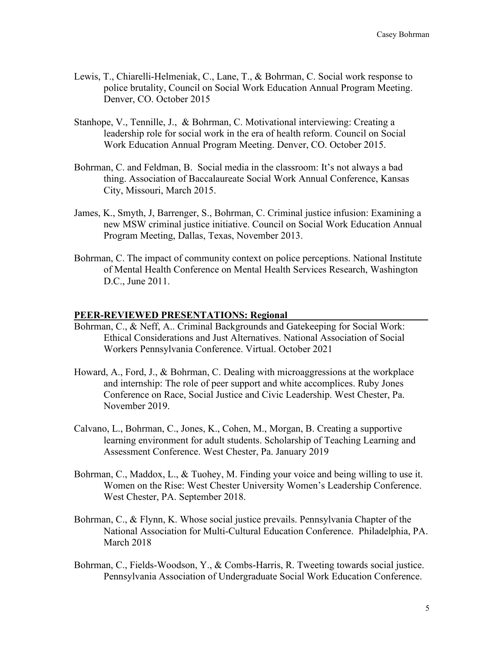- Lewis, T., Chiarelli-Helmeniak, C., Lane, T., & Bohrman, C. Social work response to police brutality, Council on Social Work Education Annual Program Meeting. Denver, CO. October 2015
- Stanhope, V., Tennille, J., & Bohrman, C. Motivational interviewing: Creating a leadership role for social work in the era of health reform. Council on Social Work Education Annual Program Meeting. Denver, CO. October 2015.
- Bohrman, C. and Feldman, B. Social media in the classroom: It's not always a bad thing. Association of Baccalaureate Social Work Annual Conference, Kansas City, Missouri, March 2015.
- James, K., Smyth, J, Barrenger, S., Bohrman, C. Criminal justice infusion: Examining a new MSW criminal justice initiative. Council on Social Work Education Annual Program Meeting, Dallas, Texas, November 2013.
- Bohrman, C. The impact of community context on police perceptions. National Institute of Mental Health Conference on Mental Health Services Research, Washington D.C., June 2011.

#### PEER-REVIEWED PRESENTATIONS: Regional

- Bohrman, C., & Neff, A.. Criminal Backgrounds and Gatekeeping for Social Work: Ethical Considerations and Just Alternatives. National Association of Social Workers Pennsylvania Conference. Virtual. October 2021
- Howard, A., Ford, J., & Bohrman, C. Dealing with microaggressions at the workplace and internship: The role of peer support and white accomplices. Ruby Jones Conference on Race, Social Justice and Civic Leadership. West Chester, Pa. November 2019.
- Calvano, L., Bohrman, C., Jones, K., Cohen, M., Morgan, B. Creating a supportive learning environment for adult students. Scholarship of Teaching Learning and Assessment Conference. West Chester, Pa. January 2019
- Bohrman, C., Maddox, L., & Tuohey, M. Finding your voice and being willing to use it. Women on the Rise: West Chester University Women's Leadership Conference. West Chester, PA. September 2018.
- Bohrman, C., & Flynn, K. Whose social justice prevails. Pennsylvania Chapter of the National Association for Multi-Cultural Education Conference. Philadelphia, PA. March 2018
- Bohrman, C., Fields-Woodson, Y., & Combs-Harris, R. Tweeting towards social justice. Pennsylvania Association of Undergraduate Social Work Education Conference.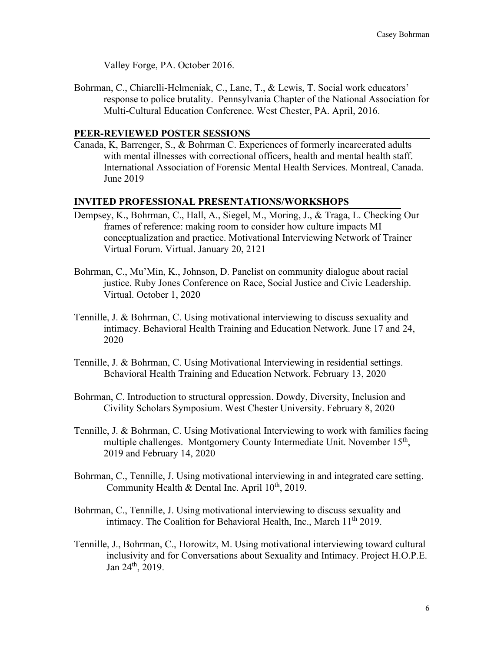Valley Forge, PA. October 2016.

Bohrman, C., Chiarelli-Helmeniak, C., Lane, T., & Lewis, T. Social work educators' response to police brutality. Pennsylvania Chapter of the National Association for Multi-Cultural Education Conference. West Chester, PA. April, 2016.

## **PEER-REVIEWED POSTER SESSIONS**

Canada, K, Barrenger, S., & Bohrman C. Experiences of formerly incarcerated adults with mental illnesses with correctional officers, health and mental health staff. International Association of Forensic Mental Health Services. Montreal, Canada. June 2019

## **INVITED PROFESSIONAL PRESENTATIONS/WORKSHOPS**

- Dempsey, K., Bohrman, C., Hall, A., Siegel, M., Moring, J., & Traga, L. Checking Our frames of reference: making room to consider how culture impacts MI conceptualization and practice. Motivational Interviewing Network of Trainer Virtual Forum. Virtual. January 20, 2121
- Bohrman, C., Mu'Min, K., Johnson, D. Panelist on community dialogue about racial justice. Ruby Jones Conference on Race, Social Justice and Civic Leadership. Virtual. October 1, 2020
- Tennille, J. & Bohrman, C. Using motivational interviewing to discuss sexuality and intimacy. Behavioral Health Training and Education Network. June 17 and 24, 2020
- Tennille, J. & Bohrman, C. Using Motivational Interviewing in residential settings. Behavioral Health Training and Education Network. February 13, 2020
- Bohrman, C. Introduction to structural oppression. Dowdy, Diversity, Inclusion and Civility Scholars Symposium. West Chester University. February 8, 2020
- Tennille, J. & Bohrman, C. Using Motivational Interviewing to work with families facing multiple challenges. Montgomery County Intermediate Unit. November 15<sup>th</sup>, 2019 and February 14, 2020
- Bohrman, C., Tennille, J. Using motivational interviewing in and integrated care setting. Community Health & Dental Inc. April  $10^{th}$ , 2019.
- Bohrman, C., Tennille, J. Using motivational interviewing to discuss sexuality and intimacy. The Coalition for Behavioral Health, Inc., March 11<sup>th</sup> 2019.
- Tennille, J., Bohrman, C., Horowitz, M. Using motivational interviewing toward cultural inclusivity and for Conversations about Sexuality and Intimacy. Project H.O.P.E. Jan 24th, 2019.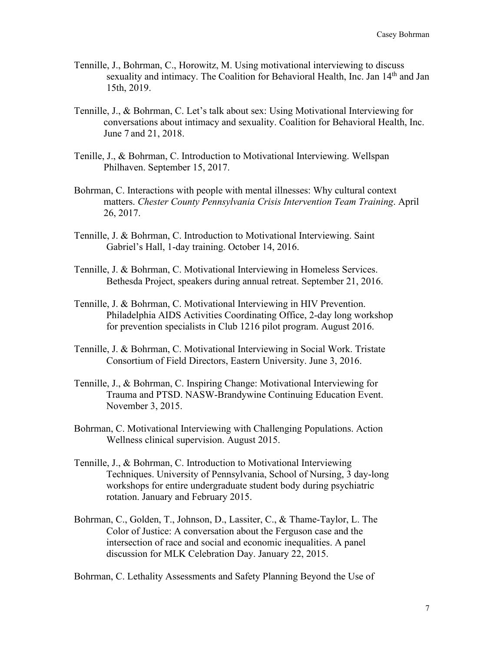- Tennille, J., Bohrman, C., Horowitz, M. Using motivational interviewing to discuss sexuality and intimacy. The Coalition for Behavioral Health, Inc. Jan 14<sup>th</sup> and Jan 15th, 2019.
- Tennille, J., & Bohrman, C. Let's talk about sex: Using Motivational Interviewing for conversations about intimacy and sexuality. Coalition for Behavioral Health, Inc. June 7 and 21, 2018.
- Tenille, J., & Bohrman, C. Introduction to Motivational Interviewing. Wellspan Philhaven. September 15, 2017.
- Bohrman, C. Interactions with people with mental illnesses: Why cultural context matters. *Chester County Pennsylvania Crisis Intervention Team Training*. April 26, 2017.
- Tennille, J. & Bohrman, C. Introduction to Motivational Interviewing. Saint Gabriel's Hall, 1-day training. October 14, 2016.
- Tennille, J. & Bohrman, C. Motivational Interviewing in Homeless Services. Bethesda Project, speakers during annual retreat. September 21, 2016.
- Tennille, J. & Bohrman, C. Motivational Interviewing in HIV Prevention. Philadelphia AIDS Activities Coordinating Office, 2-day long workshop for prevention specialists in Club 1216 pilot program. August 2016.
- Tennille, J. & Bohrman, C. Motivational Interviewing in Social Work. Tristate Consortium of Field Directors, Eastern University. June 3, 2016.
- Tennille, J., & Bohrman, C. Inspiring Change: Motivational Interviewing for Trauma and PTSD. NASW-Brandywine Continuing Education Event. November 3, 2015.
- Bohrman, C. Motivational Interviewing with Challenging Populations. Action Wellness clinical supervision. August 2015.
- Tennille, J., & Bohrman, C. Introduction to Motivational Interviewing Techniques. University of Pennsylvania, School of Nursing, 3 day-long workshops for entire undergraduate student body during psychiatric rotation. January and February 2015.
- Bohrman, C., Golden, T., Johnson, D., Lassiter, C., & Thame-Taylor, L. The Color of Justice: A conversation about the Ferguson case and the intersection of race and social and economic inequalities. A panel discussion for MLK Celebration Day. January 22, 2015.

Bohrman, C. Lethality Assessments and Safety Planning Beyond the Use of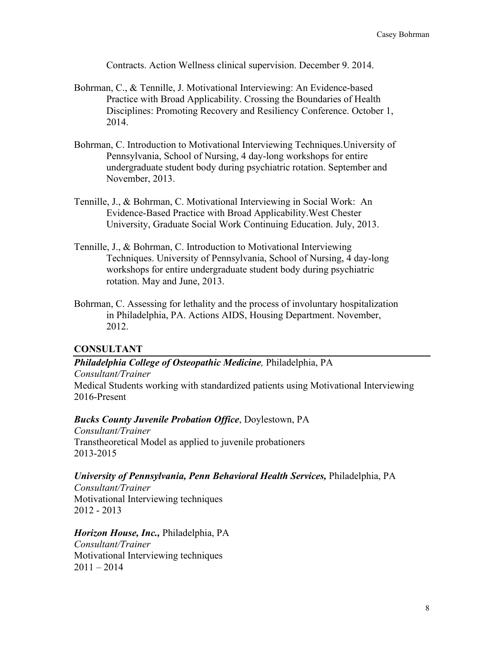Contracts. Action Wellness clinical supervision. December 9. 2014.

- Bohrman, C., & Tennille, J. Motivational Interviewing: An Evidence-based Practice with Broad Applicability. Crossing the Boundaries of Health Disciplines: Promoting Recovery and Resiliency Conference. October 1, 2014.
- Bohrman, C. Introduction to Motivational Interviewing Techniques.University of Pennsylvania, School of Nursing, 4 day-long workshops for entire undergraduate student body during psychiatric rotation. September and November, 2013.
- Tennille, J., & Bohrman, C. Motivational Interviewing in Social Work: An Evidence-Based Practice with Broad Applicability.West Chester University, Graduate Social Work Continuing Education. July, 2013.
- Tennille, J., & Bohrman, C. Introduction to Motivational Interviewing Techniques. University of Pennsylvania, School of Nursing, 4 day-long workshops for entire undergraduate student body during psychiatric rotation. May and June, 2013.
- Bohrman, C. Assessing for lethality and the process of involuntary hospitalization in Philadelphia, PA. Actions AIDS, Housing Department. November, 2012.

## **CONSULTANT**

# *Philadelphia College of Osteopathic Medicine,* Philadelphia, PA

*Consultant/Trainer* Medical Students working with standardized patients using Motivational Interviewing 2016-Present

## *Bucks County Juvenile Probation Office*, Doylestown, PA

*Consultant/Trainer* Transtheoretical Model as applied to juvenile probationers 2013-2015

#### *University of Pennsylvania, Penn Behavioral Health Services,* Philadelphia, PA

*Consultant/Trainer* Motivational Interviewing techniques 2012 - 2013

*Horizon House, Inc.,* Philadelphia, PA *Consultant/Trainer*

Motivational Interviewing techniques  $2011 - 2014$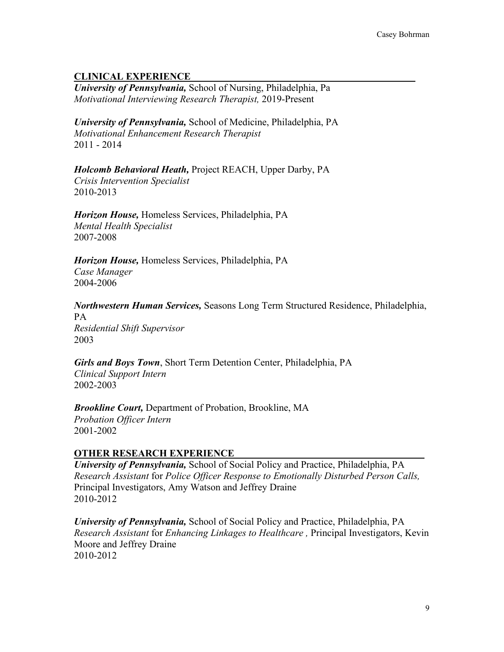# **CLINICAL EXPERIENCE\_ \_\_\_\_\_\_\_\_\_\_\_\_\_\_\_\_\_\_\_\_\_\_\_\_\_**

*University of Pennsylvania,* School of Nursing, Philadelphia, Pa *Motivational Interviewing Research Therapist,* 2019-Present

*University of Pennsylvania,* School of Medicine, Philadelphia, PA *Motivational Enhancement Research Therapist* 2011 - 2014

*Holcomb Behavioral Heath,* Project REACH, Upper Darby, PA *Crisis Intervention Specialist* 2010-2013

*Horizon House,* Homeless Services, Philadelphia, PA *Mental Health Specialist* 2007-2008

*Horizon House,* Homeless Services, Philadelphia, PA *Case Manager* 2004-2006

*Northwestern Human Services,* Seasons Long Term Structured Residence, Philadelphia, PA *Residential Shift Supervisor* 2003

*Girls and Boys Town*, Short Term Detention Center, Philadelphia, PA *Clinical Support Intern* 2002-2003

*Brookline Court,* Department of Probation, Brookline, MA *Probation Officer Intern* 2001-2002

# **OTHER RESEARCH EXPERIENCE**

*University of Pennsylvania,* School of Social Policy and Practice, Philadelphia, PA *Research Assistant* for *Police Officer Response to Emotionally Disturbed Person Calls,* Principal Investigators, Amy Watson and Jeffrey Draine 2010-2012

*University of Pennsylvania,* School of Social Policy and Practice, Philadelphia, PA *Research Assistant* for *Enhancing Linkages to Healthcare ,* Principal Investigators, Kevin Moore and Jeffrey Draine 2010-2012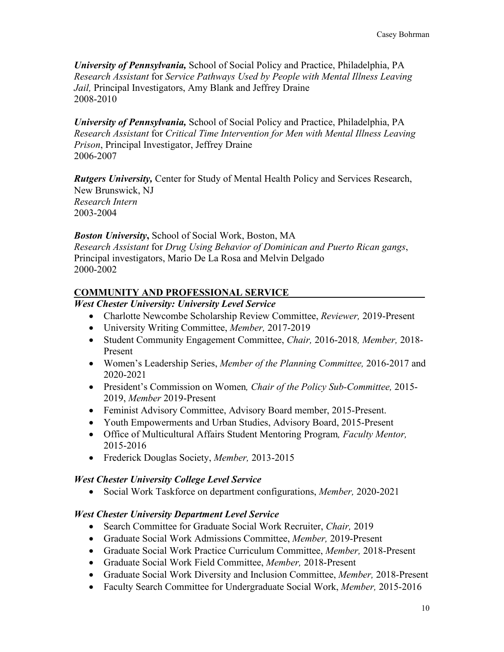*University of Pennsylvania,* School of Social Policy and Practice, Philadelphia, PA *Research Assistant* for *Service Pathways Used by People with Mental Illness Leaving Jail,* Principal Investigators, Amy Blank and Jeffrey Draine 2008-2010

*University of Pennsylvania,* School of Social Policy and Practice, Philadelphia, PA *Research Assistant* for *Critical Time Intervention for Men with Mental Illness Leaving Prison*, Principal Investigator, Jeffrey Draine 2006-2007

*Rutgers University,* Center for Study of Mental Health Policy and Services Research, New Brunswick, NJ

*Research Intern* 2003-2004

*Boston University***,** School of Social Work, Boston, MA *Research Assistant* for *Drug Using Behavior of Dominican and Puerto Rican gangs*, Principal investigators, Mario De La Rosa and Melvin Delgado 2000-2002

# **COMMUNITY AND PROFESSIONAL SERVICE \_\_\_\_\_\_\_\_**

*West Chester University: University Level Service*

- Charlotte Newcombe Scholarship Review Committee, *Reviewer,* 2019-Present
- University Writing Committee, *Member,* 2017-2019
- Student Community Engagement Committee, *Chair,* 2016-2018*, Member,* 2018- Present
- Women's Leadership Series, *Member of the Planning Committee,* 2016-2017 and 2020-2021
- President's Commission on Women*, Chair of the Policy Sub-Committee,* 2015- 2019, *Member* 2019-Present
- Feminist Advisory Committee, Advisory Board member, 2015-Present.
- Youth Empowerments and Urban Studies, Advisory Board, 2015-Present
- Office of Multicultural Affairs Student Mentoring Program*, Faculty Mentor,*  2015-2016
- Frederick Douglas Society, *Member,* 2013-2015

# *West Chester University College Level Service*

• Social Work Taskforce on department configurations, *Member,* 2020-2021

# *West Chester University Department Level Service*

- Search Committee for Graduate Social Work Recruiter, *Chair,* 2019
- Graduate Social Work Admissions Committee, *Member,* 2019-Present
- Graduate Social Work Practice Curriculum Committee, *Member,* 2018-Present
- Graduate Social Work Field Committee, *Member,* 2018-Present
- Graduate Social Work Diversity and Inclusion Committee, *Member,* 2018-Present
- Faculty Search Committee for Undergraduate Social Work, *Member,* 2015-2016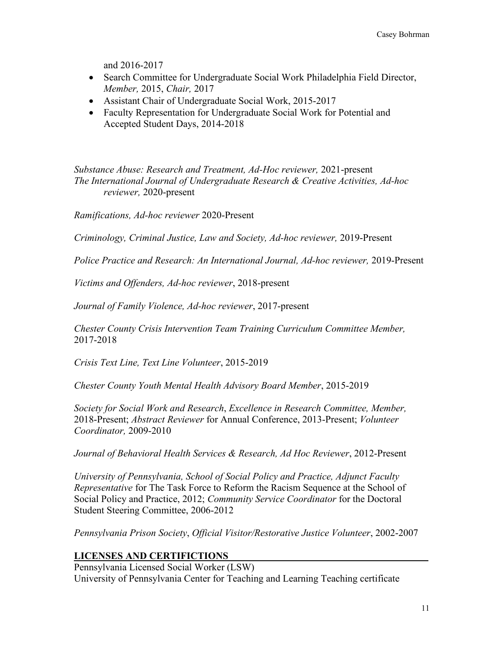and 2016-2017

- Search Committee for Undergraduate Social Work Philadelphia Field Director, *Member,* 2015, *Chair,* 2017
- Assistant Chair of Undergraduate Social Work, 2015-2017
- Faculty Representation for Undergraduate Social Work for Potential and Accepted Student Days, 2014-2018

*Substance Abuse: Research and Treatment, Ad-Hoc reviewer,* 2021-present *The International Journal of Undergraduate Research & Creative Activities, Ad-hoc reviewer,* 2020-present

*Ramifications, Ad-hoc reviewer* 2020-Present

*Criminology, Criminal Justice, Law and Society, Ad-hoc reviewer,* 2019-Present

*Police Practice and Research: An International Journal, Ad-hoc reviewer, 2019-Present* 

*Victims and Offenders, Ad-hoc reviewer*, 2018-present

*Journal of Family Violence, Ad-hoc reviewer*, 2017-present

*Chester County Crisis Intervention Team Training Curriculum Committee Member,*  2017-2018

*Crisis Text Line, Text Line Volunteer*, 2015-2019

*Chester County Youth Mental Health Advisory Board Member*, 2015-2019

*Society for Social Work and Research*, *Excellence in Research Committee, Member,*  2018-Present; *Abstract Reviewer* for Annual Conference, 2013-Present; *Volunteer Coordinator,* 2009-2010

*Journal of Behavioral Health Services & Research, Ad Hoc Reviewer*, 2012-Present

*University of Pennsylvania, School of Social Policy and Practice, Adjunct Faculty Representative* for The Task Force to Reform the Racism Sequence at the School of Social Policy and Practice, 2012; *Community Service Coordinator* for the Doctoral Student Steering Committee, 2006-2012

*Pennsylvania Prison Society*, *Official Visitor/Restorative Justice Volunteer*, 2002-2007

# **LICENSES AND CERTIFICTIONS \_\_\_\_\_\_\_\_\_\_\_\_\_\_\_\_\_\_\_**

Pennsylvania Licensed Social Worker (LSW) University of Pennsylvania Center for Teaching and Learning Teaching certificate